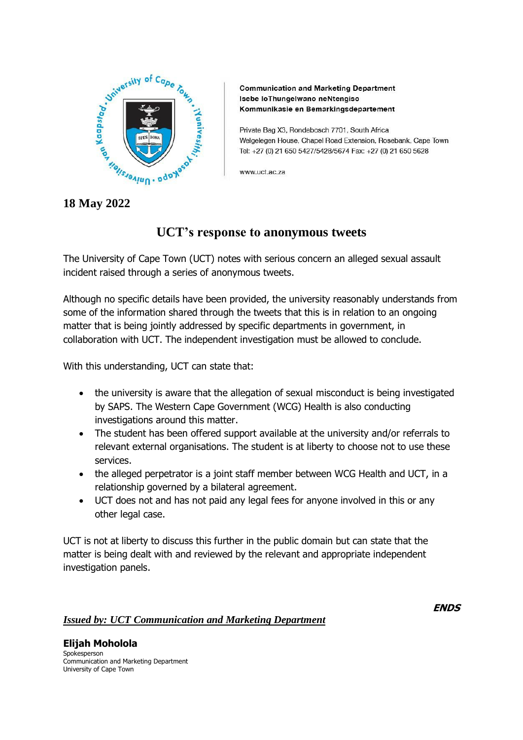

**Communication and Marketing Department** Isebe loThungelwano neNtengiso Kommunikasie en Bemarkingsdepartement

Private Bag X3, Rondebosch 7701, South Africa Welgelegen House, Chapel Road Extension, Rosebank, Cape Town Tel: +27 (0) 21 650 5427/5428/5674 Fax: +27 (0) 21 650 5628

www.uct.ac.za

**18 May 2022**

## **UCT's response to anonymous tweets**

The University of Cape Town (UCT) notes with serious concern an alleged sexual assault incident raised through a series of anonymous tweets.

Although no specific details have been provided, the university reasonably understands from some of the information shared through the tweets that this is in relation to an ongoing matter that is being jointly addressed by specific departments in government, in collaboration with UCT. The independent investigation must be allowed to conclude.

With this understanding, UCT can state that:

- the university is aware that the allegation of sexual misconduct is being investigated by SAPS. The Western Cape Government (WCG) Health is also conducting investigations around this matter.
- The student has been offered support available at the university and/or referrals to relevant external organisations. The student is at liberty to choose not to use these services.
- the alleged perpetrator is a joint staff member between WCG Health and UCT, in a relationship governed by a bilateral agreement.
- UCT does not and has not paid any legal fees for anyone involved in this or any other legal case.

UCT is not at liberty to discuss this further in the public domain but can state that the matter is being dealt with and reviewed by the relevant and appropriate independent investigation panels.

## *Issued by: UCT Communication and Marketing Department*

**ENDS**

**Elijah Moholola** Spokesperson Communication and Marketing Department University of Cape Town